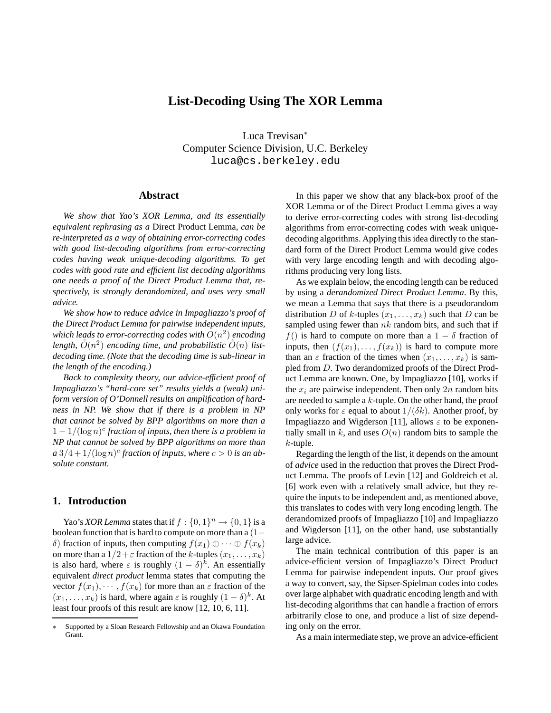# **List-Decoding Using The XOR Lemma**

Luca Trevisan<sup>∗</sup> Computer Science Division, U.C. Berkeley luca@cs.berkeley.edu

### **Abstract**

*We show that Yao's XOR Lemma, and its essentially equivalent rephrasing as a* Direct Product Lemma*, can be re-interpreted as a way of obtaining error-correcting codes with good list-decoding algorithms from error-correcting codes having weak unique-decoding algorithms. To get codes with good rate and efficient list decoding algorithms one needs a proof of the Direct Product Lemma that, respectively, is strongly derandomized, and uses very small advice.*

*We show how to reduce advice in Impagliazzo's proof of the Direct Product Lemma for pairwise independent inputs,* which leads to error-correcting codes with  $O(n^2)$  encoding length,  $\tilde{O}(n^2)$  encoding time, and probabilistic  $\tilde{O}(n)$  list*decoding time. (Note that the decoding time is sub-linear in the length of the encoding.)*

*Back to complexity theory, our advice-efficient proof of Impagliazzo's "hard-core set" results yields a (weak) uniform version of O'Donnell results on amplification of hardness in NP. We show that if there is a problem in NP that cannot be solved by BPP algorithms on more than a* 1 − 1/(log n) c *fraction of inputs, then there is a problem in NP that cannot be solved by BPP algorithms on more than*  $a\sqrt{3}/4 + \sqrt{1/\log n}$  *fraction of inputs, where*  $c > 0$  *is an absolute constant.*

### **1. Introduction**

Yao's *XOR Lemma* states that if  $f : \{0, 1\}^n \to \{0, 1\}$  is a boolean function that is hard to compute on more than a (1− δ) fraction of inputs, then computing  $f(x_1) \oplus \cdots \oplus f(x_k)$ on more than a  $1/2 + \varepsilon$  fraction of the k-tuples  $(x_1, \ldots, x_k)$ is also hard, where  $\varepsilon$  is roughly  $(1 - \delta)^k$ . An essentially equivalent *direct product* lemma states that computing the vector  $f(x_1), \dots, f(x_k)$  for more than an  $\varepsilon$  fraction of the  $(x_1, \ldots, x_k)$  is hard, where again  $\varepsilon$  is roughly  $(1 - \delta)^k$ . At least four proofs of this result are know [12, 10, 6, 11].

In this paper we show that any black-box proof of the XOR Lemma or of the Direct Product Lemma gives a way to derive error-correcting codes with strong list-decoding algorithms from error-correcting codes with weak uniquedecoding algorithms. Applying this idea directly to the standard form of the Direct Product Lemma would give codes with very large encoding length and with decoding algorithms producing very long lists.

As we explain below, the encoding length can be reduced by using a *derandomized Direct Product Lemma*. By this, we mean a Lemma that says that there is a pseudorandom distribution D of k-tuples  $(x_1, \ldots, x_k)$  such that D can be sampled using fewer than  $nk$  random bits, and such that if  $f()$  is hard to compute on more than a  $1 - \delta$  fraction of inputs, then  $(f(x_1), \ldots, f(x_k))$  is hard to compute more than an  $\varepsilon$  fraction of the times when  $(x_1, \ldots, x_k)$  is sampled from D. Two derandomized proofs of the Direct Product Lemma are known. One, by Impagliazzo [10], works if the  $x_i$  are pairwise independent. Then only 2n random bits are needed to sample a k-tuple. On the other hand, the proof only works for  $\varepsilon$  equal to about  $1/(\delta k)$ . Another proof, by Impagliazzo and Wigderson [11], allows  $\varepsilon$  to be exponentially small in k, and uses  $O(n)$  random bits to sample the  $k$ -tuple.

Regarding the length of the list, it depends on the amount of *advice* used in the reduction that proves the Direct Product Lemma. The proofs of Levin [12] and Goldreich et al. [6] work even with a relatively small advice, but they require the inputs to be independent and, as mentioned above, this translates to codes with very long encoding length. The derandomized proofs of Impagliazzo [10] and Impagliazzo and Wigderson [11], on the other hand, use substantially large advice.

The main technical contribution of this paper is an advice-efficient version of Impagliazzo's Direct Product Lemma for pairwise independent inputs. Our proof gives a way to convert, say, the Sipser-Spielman codes into codes over large alphabet with quadratic encoding length and with list-decoding algorithms that can handle a fraction of errors arbitrarily close to one, and produce a list of size depending only on the error.

As a main intermediate step, we prove an advice-efficient

Supported by a Sloan Research Fellowship and an Okawa Foundation Grant.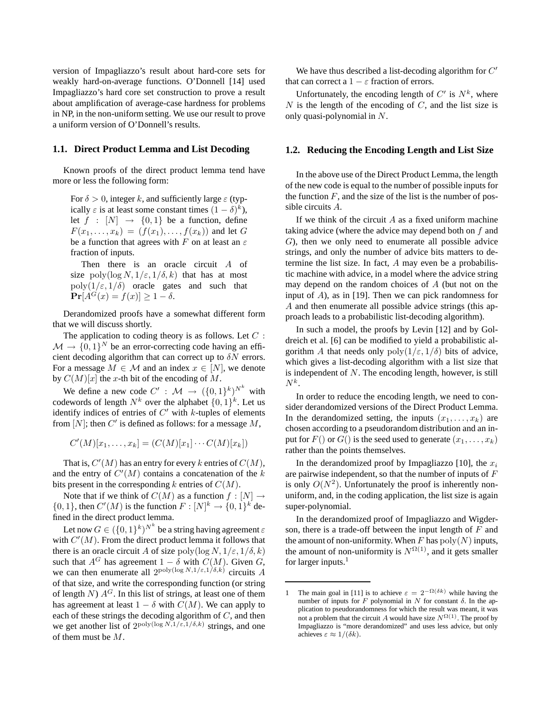version of Impagliazzo's result about hard-core sets for weakly hard-on-average functions. O'Donnell [14] used Impagliazzo's hard core set construction to prove a result about amplification of average-case hardness for problems in NP, in the non-uniform setting. We use our result to prove a uniform version of O'Donnell's results.

#### **1.1. Direct Product Lemma and List Decoding**

Known proofs of the direct product lemma tend have more or less the following form:

For  $\delta > 0$ , integer k, and sufficiently large  $\varepsilon$  (typically  $\varepsilon$  is at least some constant times  $(1 - \delta)^k$ ), let  $f : [N] \rightarrow \{0,1\}$  be a function, define  $F(x_1, ..., x_k) = (f(x_1), ..., f(x_k))$  and let G be a function that agrees with F on at least an  $\varepsilon$ fraction of inputs.

Then there is an oracle circuit A of size poly(log  $N, 1/\varepsilon, 1/\delta, k$ ) that has at most  $poly(1/\varepsilon, 1/\delta)$  oracle gates and such that  $\Pr[A^G(x) = f(x)] \geq 1 - \delta.$ 

Derandomized proofs have a somewhat different form that we will discuss shortly.

The application to coding theory is as follows. Let  $C$ :  $M \to \{0, 1\}^N$  be an error-correcting code having an efficient decoding algorithm that can correct up to  $\delta N$  errors. For a message  $M \in \mathcal{M}$  and an index  $x \in [N]$ , we denote by  $C(M)[x]$  the x-th bit of the encoding of M.

We define a new code  $C' : \mathcal{M} \to (\{0,1\}^k)^{N^k}$  with codewords of length  $N^k$  over the alphabet  $\{0, 1\}^k$ . Let us identify indices of entries of  $C'$  with  $k$ -tuples of elements from  $[N]$ ; then C' is defined as follows: for a message M,

$$
C'(M)[x_1,\ldots,x_k] = (C(M)[x_1]\cdots C(M)[x_k])
$$

That is,  $C'(M)$  has an entry for every k entries of  $C(M)$ , and the entry of  $C'(M)$  contains a concatenation of the  $k$ bits present in the corresponding k entries of  $C(M)$ .

Note that if we think of  $C(M)$  as a function  $f: [N] \rightarrow$  $\{0,1\}$ , then  $C'(M)$  is the function  $F: [N]^k \to \{0,1\}^k$  defined in the direct product lemma.

Let now  $G \in (\{0,1\}^k)^{N^k}$  be a string having agreement  $\varepsilon$ with  $C'(M)$ . From the direct product lemma it follows that there is an oracle circuit A of size  $\text{poly}(\log N, 1/\varepsilon, 1/\delta, k)$ such that  $A^G$  has agreement  $1 - \delta$  with  $C(M)$ . Given G, we can then enumerate all  $2^{poly(\log N, 1/\varepsilon, 1/\delta, k)}$  circuits A of that size, and write the corresponding function (or string of length  $N$ )  $A<sup>G</sup>$ . In this list of strings, at least one of them has agreement at least  $1 - \delta$  with  $C(M)$ . We can apply to each of these strings the decoding algorithm of  $C$ , and then we get another list of  $2^{poly(\log N, 1/\varepsilon, 1/\delta, k)}$  strings, and one of them must be M.

We have thus described a list-decoding algorithm for  $C'$ that can correct a  $1 - \varepsilon$  fraction of errors.

Unfortunately, the encoding length of  $C'$  is  $N^k$ , where  $N$  is the length of the encoding of  $C$ , and the list size is only quasi-polynomial in N.

#### **1.2. Reducing the Encoding Length and List Size**

In the above use of the Direct Product Lemma, the length of the new code is equal to the number of possible inputs for the function  $F$ , and the size of the list is the number of possible circuits A.

If we think of the circuit  $A$  as a fixed uniform machine taking advice (where the advice may depend both on f and G), then we only need to enumerate all possible advice strings, and only the number of advice bits matters to determine the list size. In fact, A may even be a probabilistic machine with advice, in a model where the advice string may depend on the random choices of  $A$  (but not on the input of A), as in [19]. Then we can pick randomness for A and then enumerate all possible advice strings (this approach leads to a probabilistic list-decoding algorithm).

In such a model, the proofs by Levin [12] and by Goldreich et al. [6] can be modified to yield a probabilistic algorithm A that needs only  $poly(1/\varepsilon, 1/\delta)$  bits of advice, which gives a list-decoding algorithm with a list size that is independent of  $N$ . The encoding length, however, is still  $N^k$ .

In order to reduce the encoding length, we need to consider derandomized versions of the Direct Product Lemma. In the derandomized setting, the inputs  $(x_1, \ldots, x_k)$  are chosen according to a pseudorandom distribution and an input for  $F()$  or  $G()$  is the seed used to generate  $(x_1, \ldots, x_k)$ rather than the points themselves.

In the derandomized proof by Impagliazzo [10], the  $x_i$ are pairwise independent, so that the number of inputs of F is only  $O(N^2)$ . Unfortunately the proof is inherently nonuniform, and, in the coding application, the list size is again super-polynomial.

In the derandomized proof of Impagliazzo and Wigderson, there is a trade-off between the input length of  $F$  and the amount of non-uniformity. When F has  $poly(N)$  inputs, the amount of non-uniformity is  $N^{\Omega(1)}$ , and it gets smaller for larger inputs.<sup>1</sup>

<sup>1</sup> The main goal in [11] is to achieve  $\varepsilon = 2^{-\Omega(\delta k)}$  while having the number of inputs for F polynomial in N for constant δ. In the application to pseudorandomness for which the result was meant, it was not a problem that the circuit A would have size  $N^{\Omega(1)}$ . The proof by Impagliazzo is "more derandomized" and uses less advice, but only achieves  $\varepsilon \approx 1/(\delta k)$ .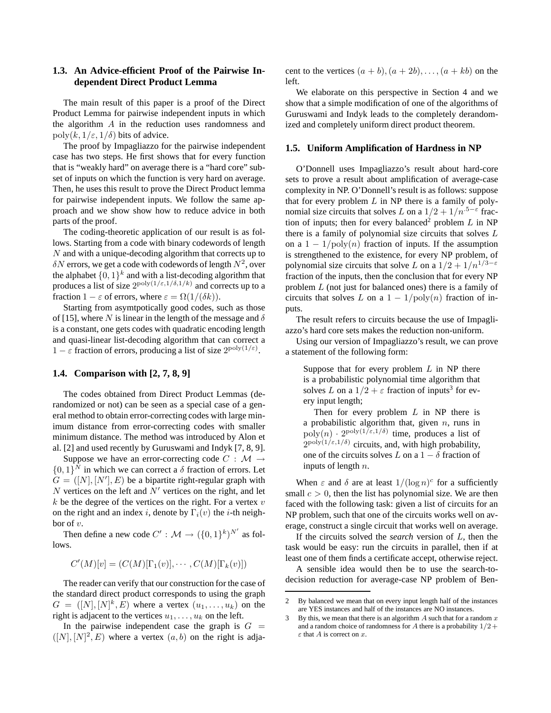# **1.3. An Advice-efficient Proof of the Pairwise Independent Direct Product Lemma**

The main result of this paper is a proof of the Direct Product Lemma for pairwise independent inputs in which the algorithm  $A$  in the reduction uses randomness and poly $(k, 1/\varepsilon, 1/\delta)$  bits of advice.

The proof by Impagliazzo for the pairwise independent case has two steps. He first shows that for every function that is "weakly hard" on average there is a "hard core" subset of inputs on which the function is very hard on average. Then, he uses this result to prove the Direct Product lemma for pairwise independent inputs. We follow the same approach and we show show how to reduce advice in both parts of the proof.

The coding-theoretic application of our result is as follows. Starting from a code with binary codewords of length  $N$  and with a unique-decoding algorithm that corrects up to  $\delta N$  errors, we get a code with codewords of length  $N^2$ , over the alphabet  $\{0,1\}^k$  and with a list-decoding algorithm that produces a list of size  $2^{poly(1/\varepsilon,1/\delta,1/k)}$  and corrects up to a fraction  $1 - \varepsilon$  of errors, where  $\varepsilon = \Omega(1/(\delta k)).$ 

Starting from asymtpotically good codes, such as those of [15], where N is linear in the length of the message and  $\delta$ is a constant, one gets codes with quadratic encoding length and quasi-linear list-decoding algorithm that can correct a  $1 - \varepsilon$  fraction of errors, producing a list of size  $2^{\text{poly}(1/\varepsilon)}$ .

## **1.4. Comparison with [2, 7, 8, 9]**

The codes obtained from Direct Product Lemmas (derandomized or not) can be seen as a special case of a general method to obtain error-correcting codes with large minimum distance from error-correcting codes with smaller minimum distance. The method was introduced by Alon et al. [2] and used recently by Guruswami and Indyk [7, 8, 9].

Suppose we have an error-correcting code  $C : \mathcal{M} \rightarrow$  $\{0, 1\}^N$  in which we can correct a  $\delta$  fraction of errors. Let  $G = ([N], [N'], E)$  be a bipartite right-regular graph with  $N$  vertices on the left and  $N'$  vertices on the right, and let  $k$  be the degree of the vertices on the right. For a vertex  $v$ on the right and an index i, denote by  $\Gamma_i(v)$  the i-th neighbor of v.

Then define a new code  $C' : \mathcal{M} \to (\{0,1\}^k)^{N'}$  as follows.

$$
C'(M)[v] = (C(M)[\Gamma_1(v)], \cdots, C(M)[\Gamma_k(v)])
$$

The reader can verify that our construction for the case of the standard direct product corresponds to using the graph  $G = ([N], [N]^k, E)$  where a vertex  $(u_1, \ldots, u_k)$  on the right is adjacent to the vertices  $u_1, \ldots, u_k$  on the left.

In the pairwise independent case the graph is  $G =$  $([N], [N]^2, E)$  where a vertex  $(a, b)$  on the right is adjacent to the vertices  $(a + b), (a + 2b), \ldots, (a + kb)$  on the left.

We elaborate on this perspective in Section 4 and we show that a simple modification of one of the algorithms of Guruswami and Indyk leads to the completely derandomized and completely uniform direct product theorem.

#### **1.5. Uniform Amplification of Hardness in NP**

O'Donnell uses Impagliazzo's result about hard-core sets to prove a result about amplification of average-case complexity in NP. O'Donnell's result is as follows: suppose that for every problem  $L$  in NP there is a family of polynomial size circuits that solves L on a  $1/2 + 1/n^{.5-\epsilon}$  fraction of inputs; then for every balanced<sup>2</sup> problem L in NP there is a family of polynomial size circuits that solves  $L$ on a  $1 - 1/\text{poly}(n)$  fraction of inputs. If the assumption is strengthened to the existence, for every NP problem, of polynomial size circuits that solve L on a  $1/2 + 1/n^{1/3-\epsilon}$ fraction of the inputs, then the conclusion that for every NP problem L (not just for balanced ones) there is a family of circuits that solves L on a  $1 - 1/\text{poly}(n)$  fraction of inputs.

The result refers to circuits because the use of Impagliazzo's hard core sets makes the reduction non-uniform.

Using our version of Impagliazzo's result, we can prove a statement of the following form:

Suppose that for every problem  $L$  in NP there is a probabilistic polynomial time algorithm that solves L on a  $1/2 + \varepsilon$  fraction of inputs<sup>3</sup> for every input length;

Then for every problem  $L$  in NP there is a probabilistic algorithm that, given  $n$ , runs in  $\text{poly}(n) \cdot 2^{\text{poly}(1/\varepsilon,1/\delta)}$  time, produces a list of  $2^{poly(1/\epsilon,1/\delta)}$  circuits, and, with high probability, one of the circuits solves L on a  $1 - \delta$  fraction of inputs of length  $n$ .

When  $\varepsilon$  and  $\delta$  are at least  $1/(\log n)^c$  for a sufficiently small  $c > 0$ , then the list has polynomial size. We are then faced with the following task: given a list of circuits for an NP problem, such that one of the circuits works well on average, construct a single circuit that works well on average.

If the circuits solved the *search* version of L, then the task would be easy: run the circuits in parallel, then if at least one of them finds a certificate accept, otherwise reject.

A sensible idea would then be to use the search-todecision reduction for average-case NP problem of Ben-

<sup>2</sup> By balanced we mean that on every input length half of the instances are YES instances and half of the instances are NO instances.

<sup>3</sup> By this, we mean that there is an algorithm A such that for a random  $x$ and a random choice of randomness for A there is a probability  $1/2 +$  $\varepsilon$  that A is correct on x.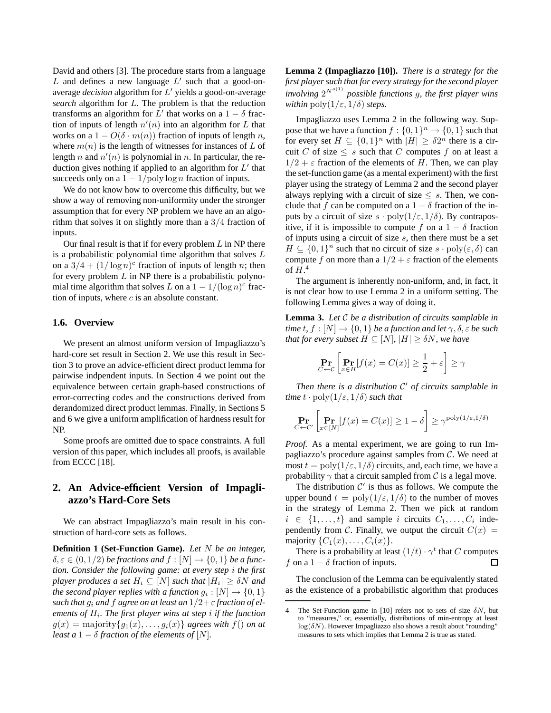David and others [3]. The procedure starts from a language  $L$  and defines a new language  $L'$  such that a good-onaverage *decision* algorithm for L' yields a good-on-average *search* algorithm for L. The problem is that the reduction transforms an algorithm for L' that works on a  $1 - \delta$  fraction of inputs of length  $n'(n)$  into an algorithm for L that works on a  $1 - O(\delta \cdot m(n))$  fraction of inputs of length n, where  $m(n)$  is the length of witnesses for instances of L of length n and  $n'(n)$  is polynomial in n. In particular, the reduction gives nothing if applied to an algorithm for  $L'$  that succeeds only on a  $1 - 1$ /poly log *n* fraction of inputs.

We do not know how to overcome this difficulty, but we show a way of removing non-uniformity under the stronger assumption that for every NP problem we have an an algorithm that solves it on slightly more than a 3/4 fraction of inputs.

Our final result is that if for every problem  $L$  in NP there is a probabilistic polynomial time algorithm that solves L on a  $3/4 + (1/\log n)^c$  fraction of inputs of length n; then for every problem  $L$  in NP there is a probabilistic polynomial time algorithm that solves L on a  $1 - 1/(\log n)^c$  fraction of inputs, where  $c$  is an absolute constant.

#### **1.6. Overview**

We present an almost uniform version of Impagliazzo's hard-core set result in Section 2. We use this result in Section 3 to prove an advice-efficient direct product lemma for pairwise indpendent inputs. In Section 4 we point out the equivalence between certain graph-based constructions of error-correcting codes and the constructions derived from derandomized direct product lemmas. Finally, in Sections 5 and 6 we give a uniform amplification of hardness result for NP.

Some proofs are omitted due to space constraints. A full version of this paper, which includes all proofs, is available from ECCC [18].

# **2. An Advice-efficient Version of Impagliazzo's Hard-Core Sets**

We can abstract Impagliazzo's main result in his construction of hard-core sets as follows.

**Definition 1 (Set-Function Game).** *Let* N *be an integer,*  $\delta, \varepsilon \in (0, 1/2)$  *be fractions and*  $f : [N] \to \{0, 1\}$  *be a function. Consider the following game: at every step* i *the first player produces a set*  $H_i \subseteq [N]$  *such that*  $|H_i| \geq \delta N$  *and the second player replies with a function*  $g_i : [N] \rightarrow \{0, 1\}$ such that  $g_i$  and  $f$  agree on at least an  $1/2 + \varepsilon$  fraction of el*ements of* H<sup>i</sup> *. The first player wins at step* i *if the function*  $g(x) = \text{majority}\lbrace g_1(x), \ldots, g_i(x) \rbrace$  *agrees with*  $f()$  *on at least a*  $1 - \delta$  *fraction of the elements of* [N].

**Lemma 2 (Impagliazzo [10]).** *There is a strategy for the first player such that for every strategy for the second player involving* 2 <sup>N</sup>o(1) *possible functions* g*, the first player wins within*  $\text{poly}(1/\varepsilon, 1/\delta)$  *steps.* 

Impagliazzo uses Lemma 2 in the following way. Suppose that we have a function  $f: \{0, 1\}^n \to \{0, 1\}$  such that for every set  $H \subseteq \{0,1\}^n$  with  $|H| \geq \delta 2^n$  there is a circuit C of size  $\leq s$  such that C computes f on at least a  $1/2 + \varepsilon$  fraction of the elements of H. Then, we can play the set-function game (as a mental experiment) with the first player using the strategy of Lemma 2 and the second player always replying with a circuit of size  $\leq s$ . Then, we conclude that f can be computed on a  $1 - \delta$  fraction of the inputs by a circuit of size  $s \cdot \text{poly}(1/\varepsilon, 1/\delta)$ . By contrapositive, if it is impossible to compute f on a  $1 - \delta$  fraction of inputs using a circuit of size  $s$ , then there must be a set  $H \subseteq \{0,1\}^n$  such that no circuit of size  $s \cdot \text{poly}(\varepsilon, \delta)$  can compute f on more than a  $1/2 + \varepsilon$  fraction of the elements of  $H^4$ 

The argument is inherently non-uniform, and, in fact, it is not clear how to use Lemma 2 in a uniform setting. The following Lemma gives a way of doing it.

**Lemma 3.** *Let* C *be a distribution of circuits samplable in time*  $t, f : [N] \rightarrow \{0, 1\}$  *be a function and let*  $\gamma, \delta, \varepsilon$  *be such that for every subset*  $H \subseteq [N], |H| \geq \delta N$ *, we have* 

$$
\Pr_{C \leftarrow C} \left[ \Pr_{x \in H} [f(x) = C(x)] \ge \frac{1}{2} + \varepsilon \right] \ge \gamma
$$

*Then there is a distribution* C ′ *of circuits samplable in time*  $t \cdot \text{poly}(1/\varepsilon, 1/\delta)$  *such that* 

$$
\Pr_{C \leftarrow C'} \left[ \Pr_{x \in [N]} [f(x) = C(x)] \ge 1 - \delta \right] \ge \gamma^{\text{poly}(1/\varepsilon, 1/\delta)}
$$

*Proof.* As a mental experiment, we are going to run Impagliazzo's procedure against samples from  $C$ . We need at most  $t = \text{poly}(1/\varepsilon, 1/\delta)$  circuits, and, each time, we have a probability  $\gamma$  that a circuit sampled from C is a legal move.

The distribution  $C'$  is thus as follows. We compute the upper bound  $t = \text{poly}(1/\varepsilon, 1/\delta)$  to the number of moves in the strategy of Lemma 2. Then we pick at random  $i \in \{1, \ldots, t\}$  and sample i circuits  $C_1, \ldots, C_i$  independently from C. Finally, we output the circuit  $C(x)$  = majority  $\{C_1(x), \ldots, C_i(x)\}.$ 

There is a probability at least  $(1/t) \cdot \gamma^t$  that C computes f on a  $1 - \delta$  fraction of inputs.  $\Box$ 

The conclusion of the Lemma can be equivalently stated as the existence of a probabilistic algorithm that produces

<sup>4</sup> The Set-Function game in [10] refers not to sets of size  $\delta N$ , but to "measures," or, essentially, distributions of min-entropy at least  $log(\delta N)$ . However Impagliazzo also shows a result about "rounding" measures to sets which implies that Lemma 2 is true as stated.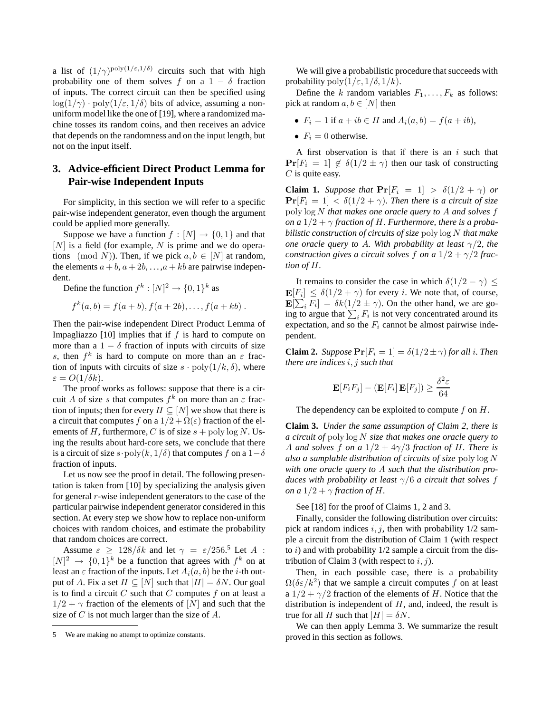a list of  $(1/\gamma)^{\text{poly}(1/\epsilon,1/\delta)}$  circuits such that with high probability one of them solves f on a  $1 - \delta$  fraction of inputs. The correct circuit can then be specified using  $\log(1/\gamma) \cdot \text{poly}(1/\varepsilon, 1/\delta)$  bits of advice, assuming a nonuniform model like the one of [19], where a randomized machine tosses its random coins, and then receives an advice that depends on the randomness and on the input length, but not on the input itself.

# **3. Advice-efficient Direct Product Lemma for Pair-wise Independent Inputs**

For simplicity, in this section we will refer to a specific pair-wise independent generator, even though the argument could be applied more generally.

Suppose we have a function  $f : [N] \to \{0, 1\}$  and that  $[N]$  is a field (for example, N is prime and we do operations (mod N)). Then, if we pick  $a, b \in [N]$  at random, the elements  $a + b$ ,  $a + 2b$ , ..., $a + kb$  are pairwise independent.

Define the function  $f^k: [N]^2 \to \{0,1\}^k$  as

$$
f^{k}(a,b) = f(a+b), f(a+2b), \ldots, f(a+kb).
$$

Then the pair-wise independent Direct Product Lemma of Impagliazzo [10] implies that if  $f$  is hard to compute on more than a  $1 - \delta$  fraction of inputs with circuits of size s, then  $f^k$  is hard to compute on more than an  $\varepsilon$  fraction of inputs with circuits of size  $s \cdot \text{poly}(1/k, \delta)$ , where  $\varepsilon = O(1/\delta k)$ .

The proof works as follows: suppose that there is a circuit A of size s that computes  $f^k$  on more than an  $\varepsilon$  fraction of inputs; then for every  $H \subseteq [N]$  we show that there is a circuit that computes f on a  $1/2 + \Omega(\varepsilon)$  fraction of the elements of H, furthermore, C is of size  $s + \text{poly} \log N$ . Using the results about hard-core sets, we conclude that there is a circuit of size s · poly $(k, 1/\delta)$  that computes f on a  $1-\delta$ fraction of inputs.

Let us now see the proof in detail. The following presentation is taken from [10] by specializing the analysis given for general r-wise independent generators to the case of the particular pairwise independent generator considered in this section. At every step we show how to replace non-uniform choices with random choices, and estimate the probability that random choices are correct.

Assume  $\varepsilon \geq 128/\delta k$  and let  $\gamma = \varepsilon/256$ .<sup>5</sup> Let A:  $[N]^2 \rightarrow \{0,1\}^k$  be a function that agrees with  $f^k$  on at least an  $\varepsilon$  fraction of the inputs. Let  $A_i(a, b)$  be the *i*-th output of A. Fix a set  $H \subseteq [N]$  such that  $|H| = \delta N$ . Our goal is to find a circuit  $C$  such that  $C$  computes  $f$  on at least a  $1/2 + \gamma$  fraction of the elements of  $[N]$  and such that the size of  $C$  is not much larger than the size of  $A$ .

We will give a probabilistic procedure that succeeds with probability  $\text{poly}(1/\varepsilon, 1/\delta, 1/k)$ .

Define the k random variables  $F_1, \ldots, F_k$  as follows: pick at random  $a, b \in [N]$  then

- $F_i = 1$  if  $a + ib \in H$  and  $A_i(a, b) = f(a + ib)$ ,
- $F_i = 0$  otherwise.

A first observation is that if there is an  $i$  such that  $\Pr[F_i = 1] \notin \delta(1/2 \pm \gamma)$  then our task of constructing  $C$  is quite easy.

**Claim 1.** *Suppose that*  $Pr[F_i = 1] > \delta(1/2 + \gamma)$  *or*  $\Pr[F_i = 1] < \delta(1/2 + \gamma)$ *. Then there is a circuit of size* poly log N *that makes one oracle query to* A *and solves* f *on a*  $1/2 + \gamma$  *fraction of H. Furthermore, there is a probabilistic construction of circuits of size* poly log N *that make one oracle query to A. With probability at least*  $\gamma/2$ *, the construction gives a circuit solves f on a*  $1/2 + \gamma/2$  *fraction of* H*.*

It remains to consider the case in which  $\delta(1/2 - \gamma) \leq$  $\mathbf{E}[F_i] \leq \delta(1/2 + \gamma)$  for every *i*. We note that, of course,  $\mathbf{E}[\sum_i F_i] = \delta k(\frac{1}{2} \pm \gamma)$ . On the other hand, we are going to argue that  $\sum_i F_i$  is not very concentrated around its expectation, and so the  $F_i$  cannot be almost pairwise independent.

**Claim 2.** *Suppose*  $Pr[F_i = 1] = \delta(1/2 \pm \gamma)$  *for all i. Then there are indices* i, j *such that*

$$
\mathbf{E}[F_i F_j] - (\mathbf{E}[F_i] \mathbf{E}[F_j]) \ge \frac{\delta^2 \varepsilon}{64}
$$

The dependency can be exploited to compute  $f$  on  $H$ .

**Claim 3.** *Under the same assumption of Claim 2, there is a circuit of* poly log N *size that makes one oracle query to* A *and solves* f *on a*  $1/2 + 4\gamma/3$  *fraction of H. There is also a samplable distribution of circuits of size* poly log N *with one oracle query to* A *such that the distribution produces with probability at least*  $\gamma/6$  *a circuit that solves* f *on a*  $1/2 + \gamma$  *fraction of H.* 

See [18] for the proof of Claims 1, 2 and 3.

Finally, consider the following distribution over circuits: pick at random indices  $i, j$ , then with probability  $1/2$  sample a circuit from the distribution of Claim 1 (with respect to  $i$ ) and with probability  $1/2$  sample a circuit from the distribution of Claim 3 (with respect to  $i, j$ ).

Then, in each possible case, there is a probability  $\Omega(\delta \varepsilon / k^2)$  that we sample a circuit computes f on at least a  $1/2 + \gamma/2$  fraction of the elements of H. Notice that the distribution is independent of  $H$ , and, indeed, the result is true for all H such that  $|H| = \delta N$ .

We can then apply Lemma 3. We summarize the result proved in this section as follows.

<sup>5</sup> We are making no attempt to optimize constants.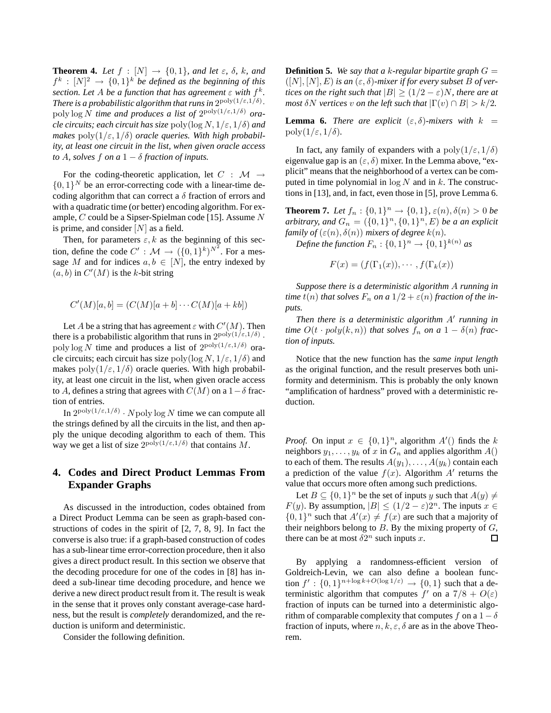**Theorem 4.** *Let*  $f : [N] \rightarrow \{0, 1\}$ *, and let*  $\varepsilon$ *,*  $\delta$ *, k, and*  $f^k : [N]^2 \to \{0,1\}^k$  be defined as the beginning of this *section. Let* A *be a function that has agreement*  $\varepsilon$  with  $f^k$ . *There is a probabilistic algorithm that runs in*  $2^{poly(1/\varepsilon, 1/\delta)}$ . poly log N *time and produces a list of* 2 poly(1/ε,1/δ) *oracle circuits; each circuit has size*  $poly(log N, 1/\varepsilon, 1/\delta)$  *and makes*  $poly(1/\varepsilon, 1/\delta)$  *oracle queries. With high probability, at least one circuit in the list, when given oracle access to* A, solves f on a  $1 - \delta$  fraction of inputs.

For the coding-theoretic application, let  $C : \mathcal{M} \rightarrow$  $\{0,1\}^N$  be an error-correcting code with a linear-time decoding algorithm that can correct a  $\delta$  fraction of errors and with a quadratic time (or better) encoding algorithm. For example,  $C$  could be a Sipser-Spielman code [15]. Assume  $N$ is prime, and consider  $[N]$  as a field.

Then, for parameters  $\varepsilon$ , k as the beginning of this section, define the code  $C' : \mathcal{M} \to (\{0,1\}^k)^{N^2}$ . For a message M and for indices  $a, b \in [N]$ , the entry indexed by  $(a, b)$  in  $C'(M)$  is the k-bit string

$$
C'(M)[a,b] = (C(M)[a+b]\cdots C(M)[a+kb])
$$

Let A be a string that has agreement  $\varepsilon$  with  $C'(M)$ . Then there is a probabilistic algorithm that runs in  $2^{poly(1/\varepsilon,1/\delta)}$ . poly  $\log N$  time and produces a list of  $2^{\text{poly}(1/\epsilon,1/\delta)}$  oracle circuits; each circuit has size  $\text{poly}(\log N, 1/\varepsilon, 1/\delta)$  and makes  $poly(1/\varepsilon, 1/\delta)$  oracle queries. With high probability, at least one circuit in the list, when given oracle access to A, defines a string that agrees with  $C(M)$  on a  $1-\delta$  fraction of entries.

In  $2^{poly(1/\epsilon,1/\delta)} \cdot Npoly \log N$  time we can compute all the strings defined by all the circuits in the list, and then apply the unique decoding algorithm to each of them. This way we get a list of size  $2^{poly(1/\epsilon,1/\delta)}$  that contains M.

# **4. Codes and Direct Product Lemmas From Expander Graphs**

As discussed in the introduction, codes obtained from a Direct Product Lemma can be seen as graph-based constructions of codes in the spirit of [2, 7, 8, 9]. In fact the converse is also true: if a graph-based construction of codes has a sub-linear time error-correction procedure, then it also gives a direct product result. In this section we observe that the decoding procedure for one of the codes in [8] has indeed a sub-linear time decoding procedure, and hence we derive a new direct product result from it. The result is weak in the sense that it proves only constant average-case hardness, but the result is *completely* derandomized, and the reduction is uniform and deterministic.

Consider the following definition.

**Definition 5.** We say that a k-regular bipartite graph  $G =$  $([N], [N], E)$  *is an*  $(\varepsilon, \delta)$ -mixer if for every subset B of ver*tices on the right such that*  $|B| > (1/2 - \varepsilon)N$ *, there are at most*  $\delta N$  *vertices v on the left such that*  $|\Gamma(v) \cap B| > k/2$ *.* 

**Lemma 6.** *There are explicit*  $(\varepsilon, \delta)$ -mixers with  $k =$  $\text{poly}(1/\varepsilon, 1/\delta)$ .

In fact, any family of expanders with a  $poly(1/\varepsilon, 1/\delta)$ eigenvalue gap is an  $(\varepsilon, \delta)$  mixer. In the Lemma above, "explicit" means that the neighborhood of a vertex can be computed in time polynomial in  $\log N$  and in k. The constructions in [13], and, in fact, even those in [5], prove Lemma 6.

**Theorem 7.** *Let*  $f_n : \{0, 1\}^n \to \{0, 1\}$ ,  $\varepsilon(n), \delta(n) > 0$  *be arbitrary, and*  $G_n = (\{0,1\}^n, \{0,1\}^n, E)$  *be a an explicit family of*  $(\varepsilon(n), \delta(n))$  *mixers of degree*  $k(n)$ *.* 

Define the function  $F_n: \{0,1\}^n \rightarrow \{0,1\}^{k(n)}$  as

$$
F(x) = (f(\Gamma_1(x)), \cdots, f(\Gamma_k(x)))
$$

*Suppose there is a deterministic algorithm* A *running in time*  $t(n)$  *that solves*  $F_n$  *on a*  $1/2 + \varepsilon(n)$  *fraction of the inputs.*

*Then there is a deterministic algorithm* A′ *running in time*  $O(t \cdot poly(k, n))$  *that solves*  $f_n$  *on a*  $1 - \delta(n)$  *fraction of inputs.*

Notice that the new function has the *same input length* as the original function, and the result preserves both uniformity and determinism. This is probably the only known "amplification of hardness" proved with a deterministic reduction.

*Proof.* On input  $x \in \{0,1\}^n$ , algorithm  $A'()$  finds the k neighbors  $y_1, \ldots, y_k$  of x in  $G_n$  and applies algorithm  $A()$ to each of them. The results  $A(y_1), \ldots, A(y_k)$  contain each a prediction of the value  $f(x)$ . Algorithm  $A'$  returns the value that occurs more often among such predictions.

Let  $B \subseteq \{0,1\}^n$  be the set of inputs y such that  $A(y) \neq$  $F(y)$ . By assumption,  $|B| \leq (1/2 - \varepsilon)2^{n}$ . The inputs  $x \in$  $\{0,1\}^n$  such that  $A'(x) \neq f(x)$  are such that a majority of their neighbors belong to  $B$ . By the mixing property of  $G$ , there can be at most  $\delta 2^n$  such inputs x. П

By applying a randomness-efficient version of Goldreich-Levin, we can also define a boolean function  $f' : \{0,1\}^{n+\log k + O(\log 1/\varepsilon)} \to \{0,1\}$  such that a deterministic algorithm that computes  $f'$  on a  $7/8 + O(\varepsilon)$ fraction of inputs can be turned into a deterministic algorithm of comparable complexity that computes f on a  $1 - \delta$ fraction of inputs, where  $n, k, \varepsilon, \delta$  are as in the above Theorem.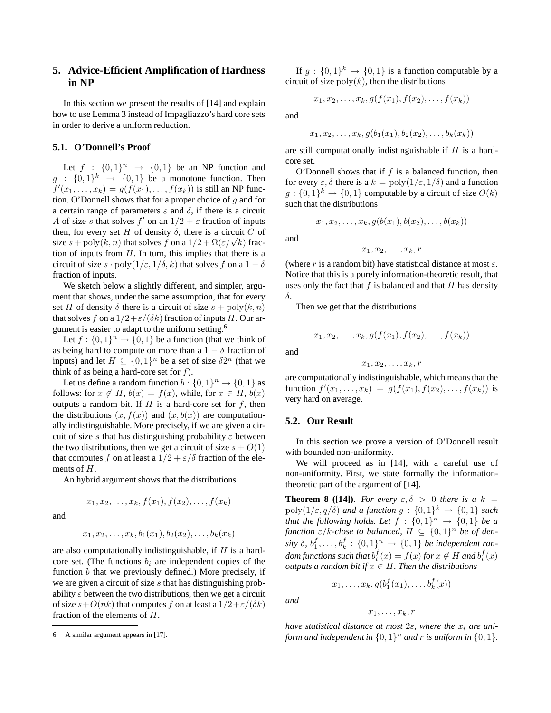# **5. Advice-Efficient Amplification of Hardness in NP**

In this section we present the results of [14] and explain how to use Lemma 3 instead of Impagliazzo's hard core sets in order to derive a uniform reduction.

# **5.1. O'Donnell's Proof**

Let  $f : \{0,1\}^n \rightarrow \{0,1\}$  be an NP function and  $g : \{0,1\}^k \rightarrow \{0,1\}$  be a monotone function. Then  $f'(x_1,\ldots,x_k) = g(f(x_1),\ldots,f(x_k))$  is still an NP function. O'Donnell shows that for a proper choice of  $q$  and for a certain range of parameters  $\varepsilon$  and  $\delta$ , if there is a circuit A of size s that solves  $f'$  on an  $1/2 + \varepsilon$  fraction of inputs then, for every set H of density  $\delta$ , there is a circuit C of size s + poly(k, n) that solves f on a  $1/2 + \Omega(\varepsilon/\sqrt{k})$  fraction of inputs from  $H$ . In turn, this implies that there is a circuit of size  $s \cdot \text{poly}(1/\varepsilon, 1/\delta, k)$  that solves f on a  $1 - \delta$ fraction of inputs.

We sketch below a slightly different, and simpler, argument that shows, under the same assumption, that for every set H of density  $\delta$  there is a circuit of size  $s + \text{poly}(k, n)$ that solves f on a  $1/2 + \varepsilon/(\delta k)$  fraction of inputs H. Our argument is easier to adapt to the uniform setting.<sup>6</sup>

Let  $f: \{0,1\}^n \to \{0,1\}$  be a function (that we think of as being hard to compute on more than a  $1 - \delta$  fraction of inputs) and let  $H \subseteq \{0,1\}^n$  be a set of size  $\delta 2^n$  (that we think of as being a hard-core set for  $f$ ).

Let us define a random function  $b: \{0,1\}^n \to \{0,1\}$  as follows: for  $x \notin H$ ,  $b(x) = f(x)$ , while, for  $x \in H$ ,  $b(x)$ outputs a random bit. If  $H$  is a hard-core set for  $f$ , then the distributions  $(x, f(x))$  and  $(x, b(x))$  are computationally indistinguishable. More precisely, if we are given a circuit of size s that has distinguishing probability  $\varepsilon$  between the two distributions, then we get a circuit of size  $s + O(1)$ that computes f on at least a  $1/2 + \varepsilon/\delta$  fraction of the elements of H.

An hybrid argument shows that the distributions

$$
x_1,x_2,\ldots,x_k,f(x_1),f(x_2),\ldots,f(x_k)
$$

and

$$
x_1, x_2, \ldots, x_k, b_1(x_1), b_2(x_2), \ldots, b_k(x_k)
$$

are also computationally indistinguishable, if  $H$  is a hardcore set. (The functions  $b_i$  are independent copies of the function  $b$  that we previously defined.) More precisely, if we are given a circuit of size  $s$  that has distinguishing probability  $\varepsilon$  between the two distributions, then we get a circuit of size  $s+O(nk)$  that computes f on at least a  $1/2+\epsilon/(\delta k)$ fraction of the elements of H.

If  $g: \{0,1\}^k \to \{0,1\}$  is a function computable by a circuit of size  $\text{poly}(k)$ , then the distributions

$$
x_1,x_2,\ldots,x_k,g(f(x_1),f(x_2),\ldots,f(x_k))
$$

and

 $x_1, x_2, \ldots, x_k, g(b_1(x_1), b_2(x_2), \ldots, b_k(x_k))$ 

are still computationally indistinguishable if  $H$  is a hardcore set.

O'Donnell shows that if  $f$  is a balanced function, then for every  $\varepsilon$ ,  $\delta$  there is a  $k = \text{poly}(1/\varepsilon, 1/\delta)$  and a function  $g: \{0,1\}^k \to \{0,1\}$  computable by a circuit of size  $O(k)$ such that the distributions

and

$$
x_1, x_2, \ldots, x_k, r
$$

 $x_1, x_2, \ldots, x_k, g(b(x_1), b(x_2), \ldots, b(x_k))$ 

(where r is a random bit) have statistical distance at most  $\varepsilon$ . Notice that this is a purely information-theoretic result, that uses only the fact that  $f$  is balanced and that  $H$  has density δ.

Then we get that the distributions

$$
x_1, x_2, \ldots, x_k, g(f(x_1), f(x_2), \ldots, f(x_k))
$$

and

$$
x_1, x_2, \ldots, x_k, r
$$

are computationally indistinguishable, which means that the function  $f'(x_1,...,x_k) = g(f(x_1), f(x_2),..., f(x_k))$  is very hard on average.

## **5.2. Our Result**

In this section we prove a version of O'Donnell result with bounded non-uniformity.

We will proceed as in [14], with a careful use of non-uniformity. First, we state formally the informationtheoretic part of the argument of [14].

**Theorem 8 ([14]).** *For every*  $\varepsilon, \delta > 0$  *there is a* k =  $poly(1/\varepsilon, q/\delta)$  *and a function*  $g: \{0, 1\}^k \to \{0, 1\}$  *such that the following holds. Let*  $f : \{0,1\}^n \rightarrow \{0,1\}$  *be a function*  $\varepsilon/k$ -close to balanced,  $H \subseteq \{0,1\}^n$  be of density  $\delta$ ,  $b_1^f, \ldots, b_k^f : \{0,1\}^n \rightarrow \{0,1\}$  be independent ran*dom functions such that*  $b_i^f(x) = f(x)$  *for*  $x \notin H$  *and*  $b_i^f(x)$ *outputs a random bit if*  $x \in H$ *. Then the distributions* 

$$
x_1,\ldots,x_k,g(b_1^f(x_1),\ldots,b_k^f(x))
$$

*and*

$$
x_1,\ldots,x_k,r
$$

*have statistical distance at most*  $2\varepsilon$ *, where the*  $x_i$  *are uni*form and independent in  $\{0,1\}^n$  and  $r$  is uniform in  $\{0,1\}$ .

<sup>6</sup> A similar argument appears in [17].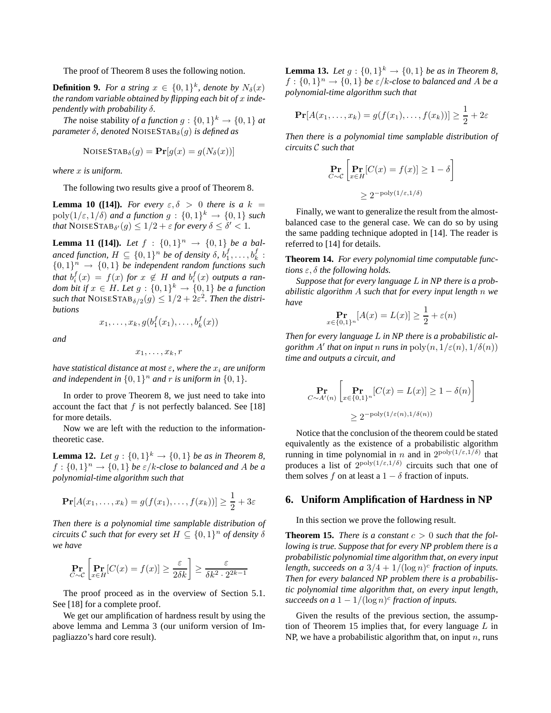The proof of Theorem 8 uses the following notion.

**Definition 9.** For a string  $x \in \{0,1\}^k$ , denote by  $N_\delta(x)$ *the random variable obtained by flipping each bit of* x *independently with probability* δ*.*

*The* noise stability *of a function*  $g: \{0,1\}^k \to \{0,1\}$  *at parameter*  $\delta$ *, denoted* NOISESTAB $_{\delta}(g)$  *is defined as* 

$$
NoiseSTAB_{\delta}(g) = \mathbf{Pr}[g(x) = g(N_{\delta}(x))]
$$

*where* x *is uniform.*

The following two results give a proof of Theorem 8.

**Lemma 10 ([14]).** *For every*  $\varepsilon, \delta > 0$  *there is a* k =  $poly(1/\varepsilon, 1/\delta)$  *and a function*  $g: \{0, 1\}^k \to \{0, 1\}$  *such that*  $\text{NOISESTAB}_{\delta'}(g) \leq 1/2 + \varepsilon$  *for every*  $\delta \leq \delta' < 1$ *.* 

**Lemma 11 ([14]).** *Let*  $f : \{0,1\}^n \rightarrow \{0,1\}$  *be a balanced function,*  $H \subseteq \{0,1\}^n$  *be of density*  $\delta$ ,  $b_1^f, \ldots, b_k^f$ :  ${0,1}^n \rightarrow {0,1}$  be independent random functions such *that*  $b_i^f(x) = f(x)$  *for*  $x \notin H$  *and*  $b_i^f(x)$  *outputs a random bit if*  $x \in H$ *. Let*  $g : \{0,1\}^k \to \{0,1\}$  *be a function*  $\textit{such that}$  NOISESTAB $_{\delta/2}(g) \leq 1/2 + 2\varepsilon^2$ *. Then the distributions*

$$
x_1,\ldots,x_k,g(b_1^f(x_1),\ldots,b_k^f(x))
$$

*and*

$$
x_1,\ldots,x_k,r
$$

*have statistical distance at most*  $\varepsilon$ *, where the*  $x_i$  *are uniform* and independent in  $\{0,1\}^n$  and  $r$  is uniform in  $\{0,1\}$ .

In order to prove Theorem 8, we just need to take into account the fact that  $f$  is not perfectly balanced. See [18] for more details.

Now we are left with the reduction to the informationtheoretic case.

**Lemma 12.** *Let*  $g: \{0, 1\}^k \to \{0, 1\}$  *be as in Theorem 8,*  $f: \{0,1\}^n \rightarrow \{0,1\}$  *be*  $\varepsilon/k$ -close to balanced and A *be* a *polynomial-time algorithm such that*

$$
\mathbf{Pr}[A(x_1,\ldots,x_k)=g(f(x_1),\ldots,f(x_k))]\geq \frac{1}{2}+3\varepsilon
$$

*Then there is a polynomial time samplable distribution of circuits*  $\mathcal C$  *such that for every set*  $H \subseteq \{0,1\}^n$  *of density*  $\delta$ *we have*

$$
\Pr_{C \sim C} \left[ \Pr_{x \in H} [C(x) = f(x)] \ge \frac{\varepsilon}{2\delta k} \right] \ge \frac{\varepsilon}{\delta k^2 \cdot 2^{2k-1}}
$$

The proof proceed as in the overview of Section 5.1. See [18] for a complete proof.

We get our amplification of hardness result by using the above lemma and Lemma 3 (our uniform version of Impagliazzo's hard core result).

**Lemma 13.** *Let*  $g: \{0, 1\}^k \to \{0, 1\}$  *be as in Theorem 8,*  $f: \{0,1\}^n \rightarrow \{0,1\}$  *be*  $\varepsilon/k$ -close to balanced and A *be* a *polynomial-time algorithm such that*

$$
\mathbf{Pr}[A(x_1,\ldots,x_k) = g(f(x_1),\ldots,f(x_k))] \geq \frac{1}{2} + 2\varepsilon
$$

*Then there is a polynomial time samplable distribution of circuits* C *such that*

$$
\Pr_{C \sim C} \left[ \Pr_{x \in H} [C(x) = f(x)] \ge 1 - \delta \right]
$$

$$
\ge 2^{-\text{poly}(1/\varepsilon, 1/\delta)}
$$

Finally, we want to generalize the result from the almostbalanced case to the general case. We can do so by using the same padding technique adopted in [14]. The reader is referred to [14] for details.

**Theorem 14.** *For every polynomial time computable functions* ε, δ *the following holds.*

*Suppose that for every language* L *in NP there is a probabilistic algorithm* A *such that for every input length* n *we have*

$$
\Pr_{x \in \{0,1\}^n} [A(x) = L(x)] \ge \frac{1}{2} + \varepsilon(n)
$$

*Then for every language* L *in NP there is a probabilistic algorithm* A' *that on input n runs in*  $poly(n, 1/\varepsilon(n), 1/\delta(n))$ *time and outputs a circuit, and*

$$
\Pr_{C \sim A'(n)} \left[ \Pr_{x \in \{0,1\}^n} [C(x) = L(x)] \ge 1 - \delta(n) \right]
$$
  
 
$$
\ge 2^{-\text{poly}(1/\varepsilon(n), 1/\delta(n))}
$$

Notice that the conclusion of the theorem could be stated equivalently as the existence of a probabilistic algorithm running in time polynomial in n and in  $2^{poly(1/\varepsilon,1/\delta)}$  that produces a list of  $2^{poly(1/\epsilon,1/\delta)}$  circuits such that one of them solves f on at least a  $1 - \delta$  fraction of inputs.

### **6. Uniform Amplification of Hardness in NP**

In this section we prove the following result.

**Theorem 15.** *There is a constant*  $c > 0$  *such that the following is true. Suppose that for every NP problem there is a probabilistic polynomial time algorithm that, on every input* length, succeeds on a  $3/4 + 1/(\log n)^c$  fraction of inputs. *Then for every balanced NP problem there is a probabilistic polynomial time algorithm that, on every input length,* succeeds on a  $1 - 1/(\log n)^c$  fraction of inputs.

Given the results of the previous section, the assumption of Theorem 15 implies that, for every language  $L$  in NP, we have a probabilistic algorithm that, on input  $n$ , runs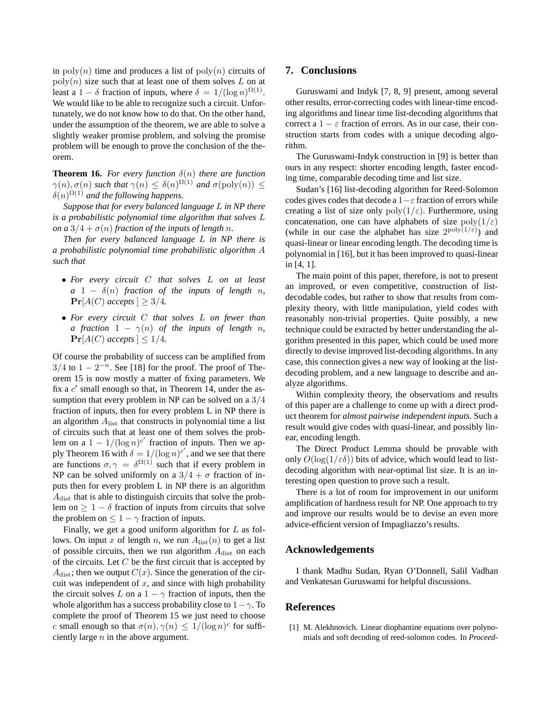in  $\text{poly}(n)$  time and produces a list of  $\text{poly}(n)$  circuits of  $poly(n)$  size such that at least one of them solves L on at least a 1 –  $\delta$  fraction of inputs, where  $\delta = 1/(\log n)^{\Omega(1)}$ . We would like to be able to recognize such a circuit. Unfortunately, we do not know how to do that. On the other hand, under the assumption of the theorem, we are able to solve a slightly weaker promise problem, and solving the promise problem will be enough to prove the conclusion of the theorem.

**Theorem 16.** *For every function*  $\delta(n)$  *there are function*  $\gamma(n), \sigma(n)$  *such that*  $\gamma(n) \leq \delta(n)^{\Omega(1)}$  *and*  $\sigma(poly(n)) \leq$  $\delta(n)^{\Omega(1)}$  and the following happens.

*Suppose that for every balanced language* L *in NP there is a probabilistic polynomial time algorithm that solves* L *on a*  $3/4 + \sigma(n)$  *fraction of the inputs of length n.* 

*Then for every balanced language* L *in NP there is a probabilistic polynomial time probabilistic algorithm* A *such that*

- *For every circuit* C *that solves* L *on at least*  $a \quad 1 - \delta(n)$  *fraction of the inputs of length n,*  $\Pr[A(C)$  *accepts*  $] \geq 3/4$ *.*
- *For every circuit* C *that solves* L *on fewer than a* fraction  $1 - \gamma(n)$  of the inputs of length n,  $\Pr[A(C)$  *accepts*  $] \leq 1/4$ *.*

Of course the probability of success can be amplified from  $3/4$  to  $1 - 2^{-n}$ . See [18] for the proof. The proof of Theorem 15 is now mostly a matter of fixing parameters. We fix a  $c'$  small enough so that, in Theorem 14, under the assumption that every problem in NP can be solved on a  $3/4$ fraction of inputs, then for every problem L in NP there is an algorithm  $A<sub>list</sub>$  that constructs in polynomial time a list of circuits such that at least one of them solves the problem on a  $1 - 1/(\log n)^{c'}$  fraction of inputs. Then we apply Theorem 16 with  $\delta = 1/(\log n)^{c'}$ , and we see that there are functions  $\sigma, \gamma = \delta^{\Omega(1)}$  such that if every problem in NP can be solved uniformly on a  $3/4 + \sigma$  fraction of inputs then for every problem L in NP there is an algorithm  $A<sub>dist</sub>$  that is able to distinguish circuits that solve the problem on  $\geq 1 - \delta$  fraction of inputs from circuits that solve the problem on  $\leq 1 - \gamma$  fraction of inputs.

Finally, we get a good uniform algorithm for  $L$  as follows. On input x of length n, we run  $A<sub>list</sub>(n)$  to get a list of possible circuits, then we run algorithm  $A<sub>dist</sub>$  on each of the circuits. Let  $C$  be the first circuit that is accepted by  $A_{\text{dist}}$ ; then we output  $C(x)$ . Since the generation of the circuit was independent of  $x$ , and since with high probability the circuit solves L on a  $1 - \gamma$  fraction of inputs, then the whole algorithm has a success probability close to  $1-\gamma$ . To complete the proof of Theorem 15 we just need to choose c small enough so that  $\sigma(n)$ ,  $\gamma(n) \leq 1/(\log n)^c$  for sufficiently large  $n$  in the above argument.

## **7. Conclusions**

Guruswami and Indyk [7, 8, 9] present, among several other results, error-correcting codes with linear-time encoding algorithms and linear time list-decoding algorithms that correct a  $1 - \varepsilon$  fraction of errors. As in our case, their construction starts from codes with a unique decoding algorithm.

The Guruswami-Indyk construction in [9] is better than ours in any respect: shorter encoding length, faster encoding time, comparable decoding time and list size.

Sudan's [16] list-decoding algorithm for Reed-Solomon codes gives codes that decode a  $1-\varepsilon$  fraction of errors while creating a list of size only  $poly(1/\varepsilon)$ . Furthermore, using concatenation, one can have alphabets of size  $\text{poly}(1/\varepsilon)$ (while in our case the alphabet has size  $2^{poly(1/\epsilon)}$ ) and quasi-linear or linear encoding length. The decoding time is polynomial in [16], but it has been improved to quasi-linear in [4, 1].

The main point of this paper, therefore, is not to present an improved, or even competitive, construction of listdecodable codes, but rather to show that results from complexity theory, with little manipulation, yield codes with reasonably non-trivial properties. Quite possibly, a new technique could be extracted by better understanding the algorithm presented in this paper, which could be used more directly to devise improved list-decoding algorithms. In any case, this connection gives a new way of looking at the listdecoding problem, and a new language to describe and analyze algorithms.

Within complexity theory, the observations and results of this paper are a challenge to come up with a direct product theorem for *almost pairwise independent inputs*. Such a result would give codes with quasi-linear, and possibly linear, encoding length.

The Direct Product Lemma should be provable with only  $O(\log(1/\epsilon \delta))$  bits of advice, which would lead to listdecoding algorithm with near-optimal list size. It is an interesting open question to prove such a result.

There is a lot of room for improvement in our uniform amplification of hardness result for NP. One approach to try and improve our results would be to devise an even more advice-efficient version of Impagliazzo's results.

# **Acknowledgements**

I thank Madhu Sudan, Ryan O'Donnell, Salil Vadhan and Venkatesan Guruswami for helpful discussions.

## **References**

[1] M. Alekhnovich. Linear diophantine equations over polynomials and soft decoding of reed-solomon codes. In *Proceed-*